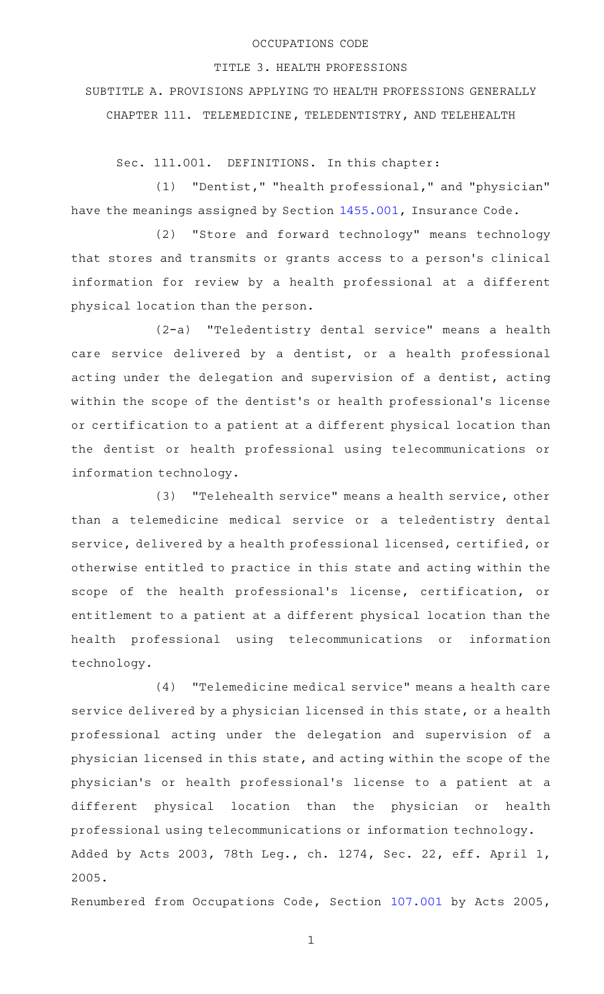### OCCUPATIONS CODE

#### TITLE 3. HEALTH PROFESSIONS

SUBTITLE A. PROVISIONS APPLYING TO HEALTH PROFESSIONS GENERALLY CHAPTER 111. TELEMEDICINE, TELEDENTISTRY, AND TELEHEALTH

Sec. 111.001. DEFINITIONS. In this chapter:

(1) "Dentist," "health professional," and "physician" have the meanings assigned by Section [1455.001](http://www.statutes.legis.state.tx.us/GetStatute.aspx?Code=IN&Value=1455.001), Insurance Code.

(2) "Store and forward technology" means technology that stores and transmits or grants access to a person 's clinical information for review by a health professional at a different physical location than the person.

(2-a) "Teledentistry dental service" means a health care service delivered by a dentist, or a health professional acting under the delegation and supervision of a dentist, acting within the scope of the dentist 's or health professional 's license or certification to a patient at a different physical location than the dentist or health professional using telecommunications or information technology.

(3) "Telehealth service" means a health service, other than a telemedicine medical service or a teledentistry dental service, delivered by a health professional licensed, certified, or otherwise entitled to practice in this state and acting within the scope of the health professional's license, certification, or entitlement to a patient at a different physical location than the health professional using telecommunications or information technology.

(4) "Telemedicine medical service" means a health care service delivered by a physician licensed in this state, or a health professional acting under the delegation and supervision of a physician licensed in this state, and acting within the scope of the physician 's or health professional 's license to a patient at a different physical location than the physician or health professional using telecommunications or information technology. Added by Acts 2003, 78th Leg., ch. 1274, Sec. 22, eff. April 1, 2005.

Renumbered from Occupations Code, Section [107.001](http://www.statutes.legis.state.tx.us/GetStatute.aspx?Code=OC&Value=107.001) by Acts 2005,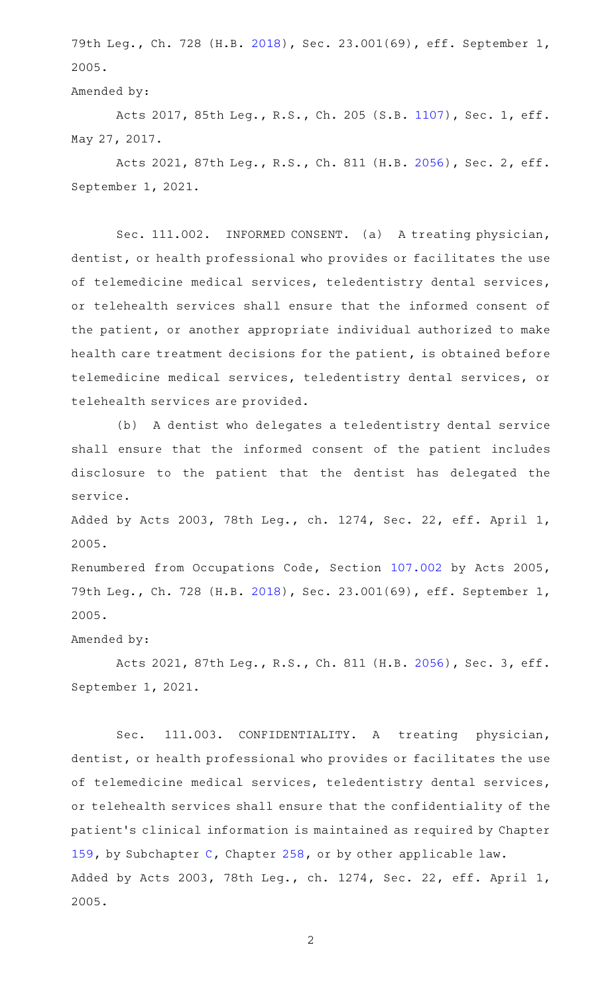79th Leg., Ch. 728 (H.B. [2018\)](http://www.legis.state.tx.us/tlodocs/79R/billtext/html/HB02018F.HTM), Sec. 23.001(69), eff. September 1, 2005.

Amended by:

Acts 2017, 85th Leg., R.S., Ch. 205 (S.B. [1107](http://www.legis.state.tx.us/tlodocs/85R/billtext/html/SB01107F.HTM)), Sec. 1, eff. May 27, 2017.

Acts 2021, 87th Leg., R.S., Ch. 811 (H.B. [2056](http://www.legis.state.tx.us/tlodocs/87R/billtext/html/HB02056F.HTM)), Sec. 2, eff. September 1, 2021.

Sec. 111.002. INFORMED CONSENT. (a) A treating physician, dentist, or health professional who provides or facilitates the use of telemedicine medical services, teledentistry dental services, or telehealth services shall ensure that the informed consent of the patient, or another appropriate individual authorized to make health care treatment decisions for the patient, is obtained before telemedicine medical services, teledentistry dental services, or telehealth services are provided.

(b) A dentist who delegates a teledentistry dental service shall ensure that the informed consent of the patient includes disclosure to the patient that the dentist has delegated the service.

Added by Acts 2003, 78th Leg., ch. 1274, Sec. 22, eff. April 1, 2005.

Renumbered from Occupations Code, Section [107.002](http://www.statutes.legis.state.tx.us/GetStatute.aspx?Code=OC&Value=107.002) by Acts 2005, 79th Leg., Ch. 728 (H.B. [2018\)](http://www.legis.state.tx.us/tlodocs/79R/billtext/html/HB02018F.HTM), Sec. 23.001(69), eff. September 1, 2005.

## Amended by:

Acts 2021, 87th Leg., R.S., Ch. 811 (H.B. [2056](http://www.legis.state.tx.us/tlodocs/87R/billtext/html/HB02056F.HTM)), Sec. 3, eff. September 1, 2021.

Sec. 111.003. CONFIDENTIALITY. A treating physician, dentist, or health professional who provides or facilitates the use of telemedicine medical services, teledentistry dental services, or telehealth services shall ensure that the confidentiality of the patient 's clinical information is maintained as required by Chapter [159,](http://www.statutes.legis.state.tx.us/GetStatute.aspx?Code=OC&Value=159) by Subchapter [C](http://www.statutes.legis.state.tx.us/GetStatute.aspx?Code=OC&Value=258.101), Chapter [258,](http://www.statutes.legis.state.tx.us/GetStatute.aspx?Code=OC&Value=258) or by other applicable law. Added by Acts 2003, 78th Leg., ch. 1274, Sec. 22, eff. April 1, 2005.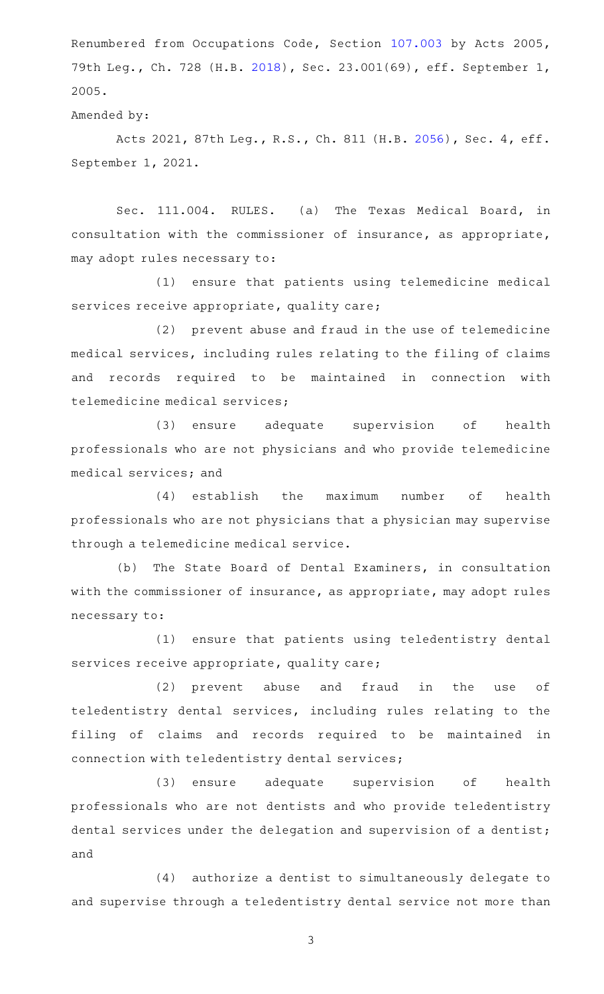Renumbered from Occupations Code, Section [107.003](http://www.statutes.legis.state.tx.us/GetStatute.aspx?Code=OC&Value=107.003) by Acts 2005, 79th Leg., Ch. 728 (H.B. [2018\)](http://www.legis.state.tx.us/tlodocs/79R/billtext/html/HB02018F.HTM), Sec. 23.001(69), eff. September 1, 2005.

#### Amended by:

Acts 2021, 87th Leg., R.S., Ch. 811 (H.B. [2056](http://www.legis.state.tx.us/tlodocs/87R/billtext/html/HB02056F.HTM)), Sec. 4, eff. September 1, 2021.

Sec. 111.004. RULES. (a) The Texas Medical Board, in consultation with the commissioner of insurance, as appropriate, may adopt rules necessary to:

(1) ensure that patients using telemedicine medical services receive appropriate, quality care;

(2) prevent abuse and fraud in the use of telemedicine medical services, including rules relating to the filing of claims and records required to be maintained in connection with telemedicine medical services;

(3) ensure adequate supervision of health professionals who are not physicians and who provide telemedicine medical services; and

(4) establish the maximum number of health professionals who are not physicians that a physician may supervise through a telemedicine medical service.

(b) The State Board of Dental Examiners, in consultation with the commissioner of insurance, as appropriate, may adopt rules necessary to:

(1) ensure that patients using teledentistry dental services receive appropriate, quality care;

(2) prevent abuse and fraud in the use of teledentistry dental services, including rules relating to the filing of claims and records required to be maintained in connection with teledentistry dental services;

(3) ensure adequate supervision of health professionals who are not dentists and who provide teledentistry dental services under the delegation and supervision of a dentist; and

(4) authorize a dentist to simultaneously delegate to and supervise through a teledentistry dental service not more than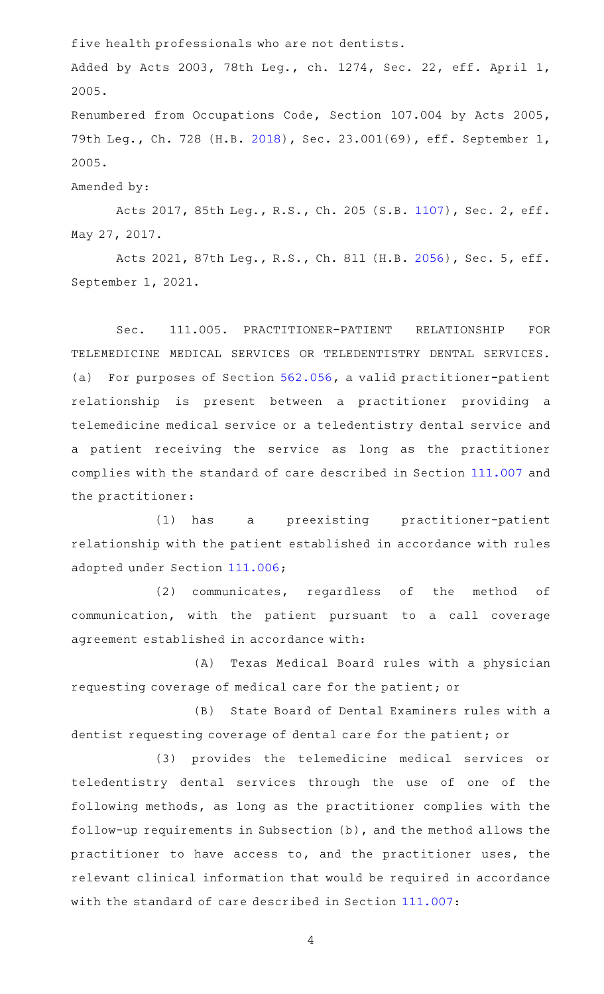five health professionals who are not dentists.

Added by Acts 2003, 78th Leg., ch. 1274, Sec. 22, eff. April 1, 2005.

Renumbered from Occupations Code, Section 107.004 by Acts 2005, 79th Leg., Ch. 728 (H.B. [2018\)](http://www.legis.state.tx.us/tlodocs/79R/billtext/html/HB02018F.HTM), Sec. 23.001(69), eff. September 1, 2005.

Amended by:

Acts 2017, 85th Leg., R.S., Ch. 205 (S.B. [1107](http://www.legis.state.tx.us/tlodocs/85R/billtext/html/SB01107F.HTM)), Sec. 2, eff. May 27, 2017.

Acts 2021, 87th Leg., R.S., Ch. 811 (H.B. [2056](http://www.legis.state.tx.us/tlodocs/87R/billtext/html/HB02056F.HTM)), Sec. 5, eff. September 1, 2021.

Sec. 111.005. PRACTITIONER-PATIENT RELATIONSHIP FOR TELEMEDICINE MEDICAL SERVICES OR TELEDENTISTRY DENTAL SERVICES. (a) For purposes of Section  $562.056$ , a valid practitioner-patient relationship is present between a practitioner providing a telemedicine medical service or a teledentistry dental service and a patient receiving the service as long as the practitioner complies with the standard of care described in Section [111.007](http://www.statutes.legis.state.tx.us/GetStatute.aspx?Code=OC&Value=111.007) and the practitioner:

(1) has a preexisting practitioner-patient relationship with the patient established in accordance with rules adopted under Section [111.006](http://www.statutes.legis.state.tx.us/GetStatute.aspx?Code=OC&Value=111.006);

(2) communicates, regardless of the method of communication, with the patient pursuant to a call coverage agreement established in accordance with:

(A) Texas Medical Board rules with a physician requesting coverage of medical care for the patient; or

(B) State Board of Dental Examiners rules with a dentist requesting coverage of dental care for the patient; or

(3) provides the telemedicine medical services or teledentistry dental services through the use of one of the following methods, as long as the practitioner complies with the follow-up requirements in Subsection (b), and the method allows the practitioner to have access to, and the practitioner uses, the relevant clinical information that would be required in accordance with the standard of care described in Section [111.007](http://www.statutes.legis.state.tx.us/GetStatute.aspx?Code=OC&Value=111.007):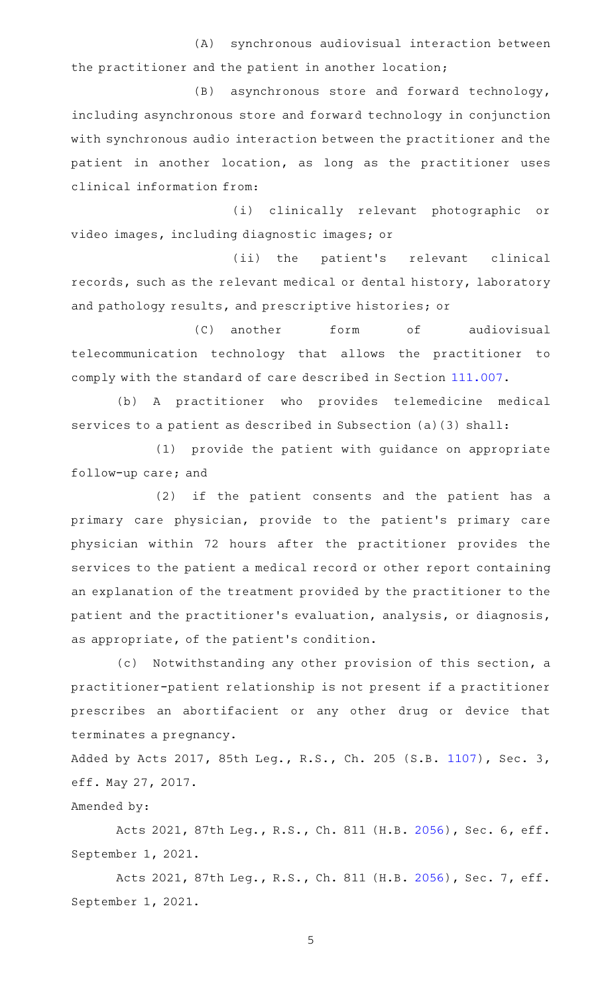(A) synchronous audiovisual interaction between the practitioner and the patient in another location;

(B) asynchronous store and forward technology, including asynchronous store and forward technology in conjunction with synchronous audio interaction between the practitioner and the patient in another location, as long as the practitioner uses clinical information from:

(i) clinically relevant photographic or video images, including diagnostic images; or

(ii) the patient's relevant clinical records, such as the relevant medical or dental history, laboratory and pathology results, and prescriptive histories; or

(C) another form of audiovisual telecommunication technology that allows the practitioner to comply with the standard of care described in Section [111.007.](http://www.statutes.legis.state.tx.us/GetStatute.aspx?Code=OC&Value=111.007)

(b) A practitioner who provides telemedicine medical services to a patient as described in Subsection (a)(3) shall:

(1) provide the patient with guidance on appropriate follow-up care; and

(2) if the patient consents and the patient has a primary care physician, provide to the patient's primary care physician within 72 hours after the practitioner provides the services to the patient a medical record or other report containing an explanation of the treatment provided by the practitioner to the patient and the practitioner 's evaluation, analysis, or diagnosis, as appropriate, of the patient 's condition.

(c) Notwithstanding any other provision of this section, a practitioner-patient relationship is not present if a practitioner prescribes an abortifacient or any other drug or device that terminates a pregnancy.

Added by Acts 2017, 85th Leg., R.S., Ch. 205 (S.B. [1107](http://www.legis.state.tx.us/tlodocs/85R/billtext/html/SB01107F.HTM)), Sec. 3, eff. May 27, 2017.

# Amended by:

Acts 2021, 87th Leg., R.S., Ch. 811 (H.B. [2056](http://www.legis.state.tx.us/tlodocs/87R/billtext/html/HB02056F.HTM)), Sec. 6, eff. September 1, 2021.

Acts 2021, 87th Leg., R.S., Ch. 811 (H.B. [2056](http://www.legis.state.tx.us/tlodocs/87R/billtext/html/HB02056F.HTM)), Sec. 7, eff. September 1, 2021.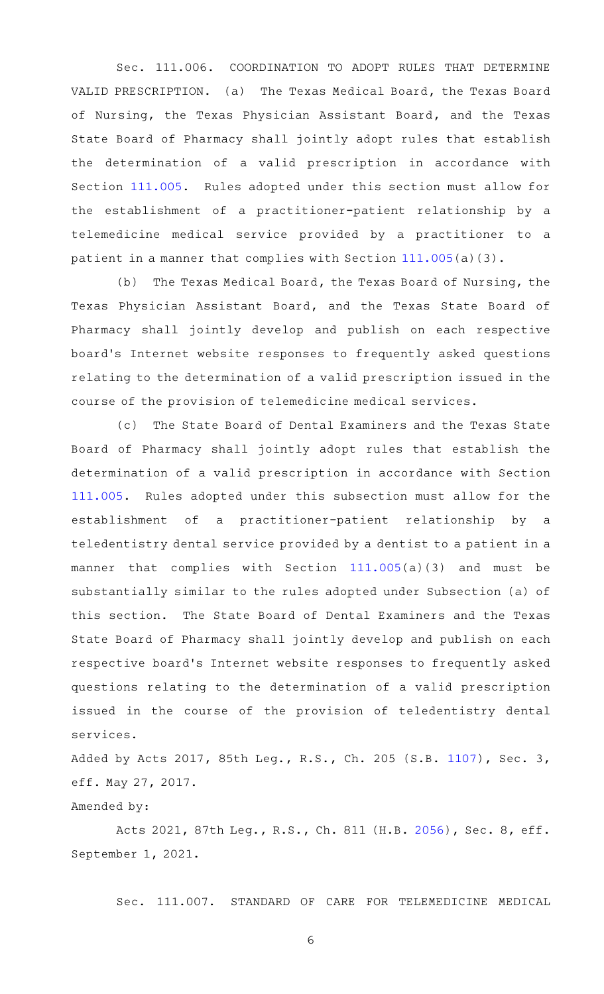Sec. 111.006. COORDINATION TO ADOPT RULES THAT DETERMINE VALID PRESCRIPTION. (a) The Texas Medical Board, the Texas Board of Nursing, the Texas Physician Assistant Board, and the Texas State Board of Pharmacy shall jointly adopt rules that establish the determination of a valid prescription in accordance with Section [111.005.](http://www.statutes.legis.state.tx.us/GetStatute.aspx?Code=OC&Value=111.005) Rules adopted under this section must allow for the establishment of a practitioner-patient relationship by a telemedicine medical service provided by a practitioner to a patient in a manner that complies with Section [111.005](http://www.statutes.legis.state.tx.us/GetStatute.aspx?Code=OC&Value=111.005)(a)(3).

(b) The Texas Medical Board, the Texas Board of Nursing, the Texas Physician Assistant Board, and the Texas State Board of Pharmacy shall jointly develop and publish on each respective board's Internet website responses to frequently asked questions relating to the determination of a valid prescription issued in the course of the provision of telemedicine medical services.

(c) The State Board of Dental Examiners and the Texas State Board of Pharmacy shall jointly adopt rules that establish the determination of a valid prescription in accordance with Section [111.005.](http://www.statutes.legis.state.tx.us/GetStatute.aspx?Code=OC&Value=111.005) Rules adopted under this subsection must allow for the establishment of a practitioner-patient relationship by a teledentistry dental service provided by a dentist to a patient in a manner that complies with Section [111.005\(](http://www.statutes.legis.state.tx.us/GetStatute.aspx?Code=OC&Value=111.005)a)(3) and must be substantially similar to the rules adopted under Subsection (a) of this section. The State Board of Dental Examiners and the Texas State Board of Pharmacy shall jointly develop and publish on each respective board's Internet website responses to frequently asked questions relating to the determination of a valid prescription issued in the course of the provision of teledentistry dental services.

Added by Acts 2017, 85th Leg., R.S., Ch. 205 (S.B. [1107](http://www.legis.state.tx.us/tlodocs/85R/billtext/html/SB01107F.HTM)), Sec. 3, eff. May 27, 2017.

Amended by:

Acts 2021, 87th Leg., R.S., Ch. 811 (H.B. [2056](http://www.legis.state.tx.us/tlodocs/87R/billtext/html/HB02056F.HTM)), Sec. 8, eff. September 1, 2021.

Sec. 111.007. STANDARD OF CARE FOR TELEMEDICINE MEDICAL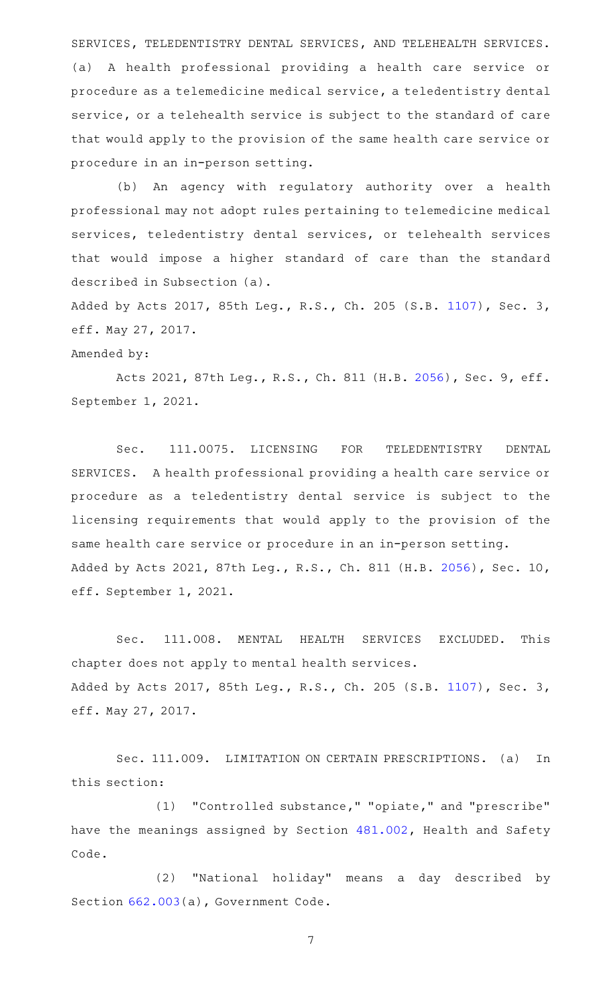SERVICES, TELEDENTISTRY DENTAL SERVICES, AND TELEHEALTH SERVICES. (a)AAA health professional providing a health care service or procedure as a telemedicine medical service, a teledentistry dental service, or a telehealth service is subject to the standard of care that would apply to the provision of the same health care service or procedure in an in-person setting.

(b) An agency with regulatory authority over a health professional may not adopt rules pertaining to telemedicine medical services, teledentistry dental services, or telehealth services that would impose a higher standard of care than the standard described in Subsection (a).

Added by Acts 2017, 85th Leg., R.S., Ch. 205 (S.B. [1107](http://www.legis.state.tx.us/tlodocs/85R/billtext/html/SB01107F.HTM)), Sec. 3, eff. May 27, 2017.

### Amended by:

Acts 2021, 87th Leg., R.S., Ch. 811 (H.B. [2056](http://www.legis.state.tx.us/tlodocs/87R/billtext/html/HB02056F.HTM)), Sec. 9, eff. September 1, 2021.

Sec. 111.0075. LICENSING FOR TELEDENTISTRY DENTAL SERVICES. A health professional providing a health care service or procedure as a teledentistry dental service is subject to the licensing requirements that would apply to the provision of the same health care service or procedure in an in-person setting. Added by Acts 2021, 87th Leg., R.S., Ch. 811 (H.B. [2056\)](http://www.legis.state.tx.us/tlodocs/87R/billtext/html/HB02056F.HTM), Sec. 10, eff. September 1, 2021.

Sec. 111.008. MENTAL HEALTH SERVICES EXCLUDED. This chapter does not apply to mental health services. Added by Acts 2017, 85th Leg., R.S., Ch. 205 (S.B. [1107](http://www.legis.state.tx.us/tlodocs/85R/billtext/html/SB01107F.HTM)), Sec. 3, eff. May 27, 2017.

Sec. 111.009. LIMITATION ON CERTAIN PRESCRIPTIONS. (a) In this section:

(1) "Controlled substance," "opiate," and "prescribe" have the meanings assigned by Section [481.002,](http://www.statutes.legis.state.tx.us/GetStatute.aspx?Code=HS&Value=481.002) Health and Safety Code.

(2) "National holiday" means a day described by Section [662.003\(](http://www.statutes.legis.state.tx.us/GetStatute.aspx?Code=GV&Value=662.003)a), Government Code.